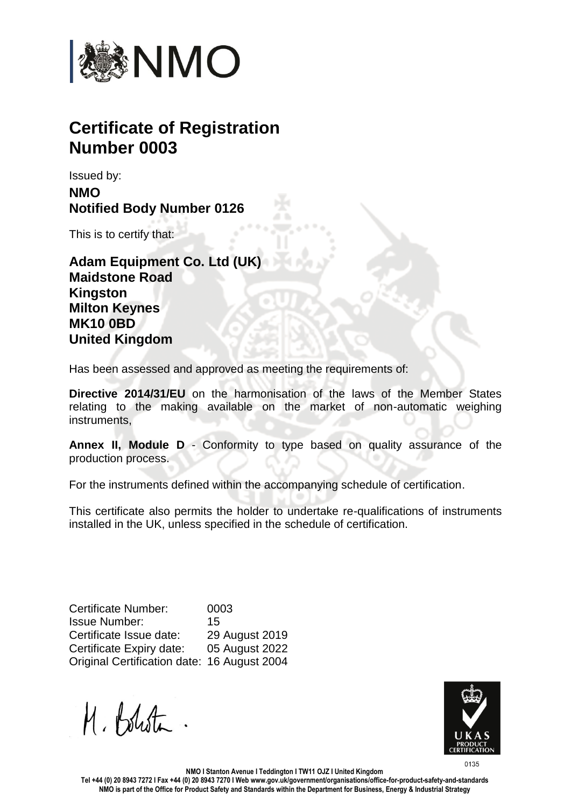

## **Certificate of Registration Number 0003**

Issued by: **NMO Notified Body Number 0126**

This is to certify that:

**Adam Equipment Co. Ltd (UK) Maidstone Road Kingston Milton Keynes MK10 0BD United Kingdom**

Has been assessed and approved as meeting the requirements of:

**Directive 2014/31/EU** on the harmonisation of the laws of the Member States relating to the making available on the market of non-automatic weighing instruments,

**Annex II, Module D** - Conformity to type based on quality assurance of the production process.

For the instruments defined within the accompanying schedule of certification.

This certificate also permits the holder to undertake re-qualifications of instruments installed in the UK, unless specified in the schedule of certification.

Certificate Number: 0003 Issue Number: 15 Certificate Issue date: 29 August 2019 Certificate Expiry date: 05 August 2022 Original Certification date: 16 August 2004

M. Bolista



**NMO I Stanton Avenue I Teddington I TW11 OJZ I United Kingdom**

**Tel +44 (0) 20 8943 7272 I Fax +44 (0) 20 8943 7270 I Web www.gov.uk/government/organisations/office-for-product-safety-and-standards NMO is part of the Office for Product Safety and Standards within the Department for Business, Energy & Industrial Strategy**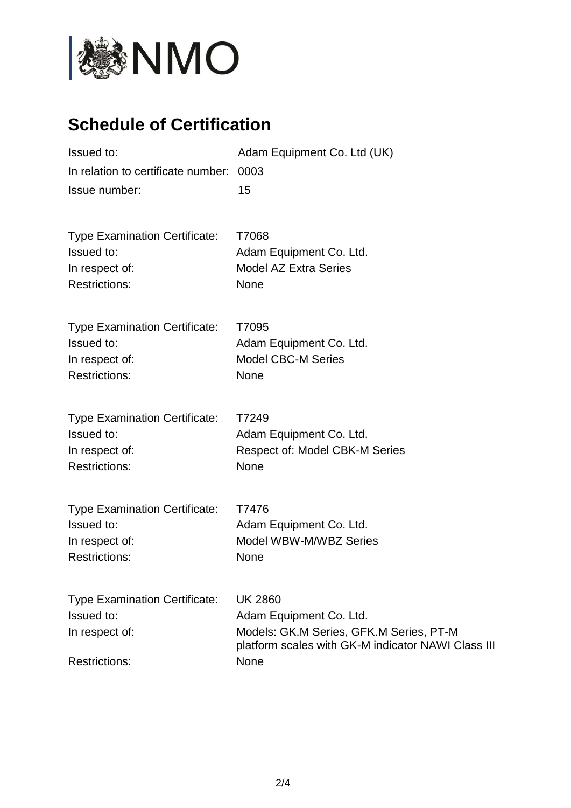

## **Schedule of Certification**

| Issued to:<br>In relation to certificate number:<br>Issue number:                            | Adam Equipment Co. Ltd (UK)<br>0003<br>15                                                                                                          |
|----------------------------------------------------------------------------------------------|----------------------------------------------------------------------------------------------------------------------------------------------------|
| <b>Type Examination Certificate:</b><br>Issued to:<br>In respect of:<br><b>Restrictions:</b> | T7068<br>Adam Equipment Co. Ltd.<br><b>Model AZ Extra Series</b><br>None                                                                           |
| <b>Type Examination Certificate:</b><br>Issued to:<br>In respect of:<br><b>Restrictions:</b> | T7095<br>Adam Equipment Co. Ltd.<br><b>Model CBC-M Series</b><br>None                                                                              |
| <b>Type Examination Certificate:</b><br>Issued to:<br>In respect of:<br><b>Restrictions:</b> | T7249<br>Adam Equipment Co. Ltd.<br><b>Respect of: Model CBK-M Series</b><br>None                                                                  |
| <b>Type Examination Certificate:</b><br>Issued to:<br>In respect of:<br><b>Restrictions:</b> | T7476<br>Adam Equipment Co. Ltd.<br>Model WBW-M/WBZ Series<br>None                                                                                 |
| <b>Type Examination Certificate:</b><br>Issued to:<br>In respect of:<br><b>Restrictions:</b> | <b>UK 2860</b><br>Adam Equipment Co. Ltd.<br>Models: GK.M Series, GFK.M Series, PT-M<br>platform scales with GK-M indicator NAWI Class III<br>None |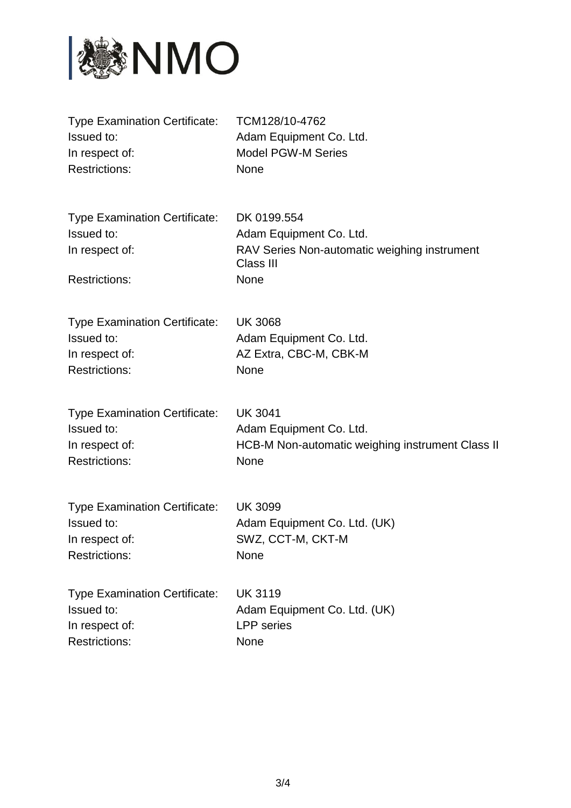

| <b>Type Examination Certificate:</b>                                                         | TCM128/10-4762                                                                                              |
|----------------------------------------------------------------------------------------------|-------------------------------------------------------------------------------------------------------------|
| Issued to:                                                                                   | Adam Equipment Co. Ltd.                                                                                     |
| In respect of:                                                                               | <b>Model PGW-M Series</b>                                                                                   |
| <b>Restrictions:</b>                                                                         | <b>None</b>                                                                                                 |
| <b>Type Examination Certificate:</b><br>Issued to:<br>In respect of:<br><b>Restrictions:</b> | DK 0199.554<br>Adam Equipment Co. Ltd.<br>RAV Series Non-automatic weighing instrument<br>Class III<br>None |
| <b>Type Examination Certificate:</b>                                                         | <b>UK 3068</b>                                                                                              |
| Issued to:                                                                                   | Adam Equipment Co. Ltd.                                                                                     |
| In respect of:                                                                               | AZ Extra, CBC-M, CBK-M                                                                                      |
| <b>Restrictions:</b>                                                                         | <b>None</b>                                                                                                 |
| <b>Type Examination Certificate:</b>                                                         | <b>UK 3041</b>                                                                                              |
| Issued to:                                                                                   | Adam Equipment Co. Ltd.                                                                                     |
| In respect of:                                                                               | HCB-M Non-automatic weighing instrument Class II                                                            |
| <b>Restrictions:</b>                                                                         | None                                                                                                        |
| <b>Type Examination Certificate:</b>                                                         | <b>UK 3099</b>                                                                                              |
| Issued to:                                                                                   | Adam Equipment Co. Ltd. (UK)                                                                                |
| In respect of:                                                                               | SWZ, CCT-M, CKT-M                                                                                           |
| <b>Restrictions:</b>                                                                         | None                                                                                                        |
| <b>Type Examination Certificate:</b>                                                         | <b>UK 3119</b>                                                                                              |
| Issued to:                                                                                   | Adam Equipment Co. Ltd. (UK)                                                                                |
| In respect of:                                                                               | <b>LPP</b> series                                                                                           |
| <b>Restrictions:</b>                                                                         | None                                                                                                        |